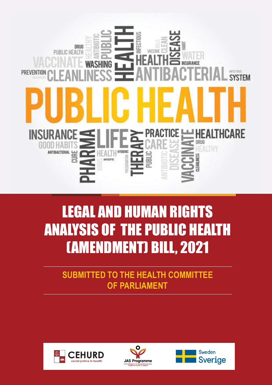

# LEGAL AND HUMAN RIGHTS ANALYSIS OF THE PUBLIC HEALTH (AMENDMENT) BILL, 2021

**SUBMITTED TO THE HEALTH COMMITTEE OF PARLIAMENT** 





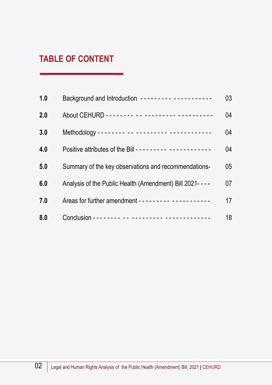## **TABLE OF CONTENT**

| 1.0 | Background and Introduction --------- -----------       | 03 |
|-----|---------------------------------------------------------|----|
| 2.0 |                                                         | 04 |
| 3.0 |                                                         | 04 |
| 4.0 |                                                         | 04 |
| 5.0 | Summary of the key observations and recommendations-    | 05 |
| 6.0 | Analysis of the Public Health (Amendment) Bill 2021---- | 07 |
| 7.0 |                                                         | 17 |
| 8.0 |                                                         | 18 |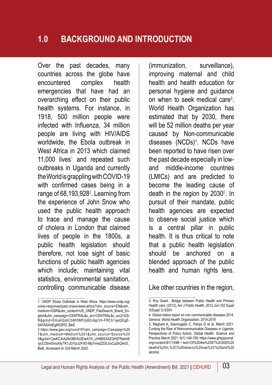#### **1.0 BACKGROUND AND INTRODUCTION**

Over the past decades, many countries across the globe have encountered complex health emergencies that have had an overarching effect on their public health systems. For instance, in 1918, 500 million people were infected with Influenza, 34 million people are living with HIV/AIDS worldwide, the Ebola outbreak in West Africa in 2013 which claimed  $11,000$  lives<sup>1</sup> and repeated such outbreaks in Uganda and currently the World is grappling with COVID-19 with confirmed cases being in a range of 68,193,928<sup>2</sup>. Learning from the experience of John Snow who used the public health approach to trace and manage the cause of cholera in London that claimed lives of people in the 1800s, a public health legislation should therefore, not lose sight of basic functions of public health agencies which include; maintaining vital statistics, environmental sanitation, controlling communicable disease

(immunization, surveillance), improving maternal and child health and health education for personal hygiene and guidance on when to seek medical care<sup>3</sup>. World Health Organization has estimated that by 2030, there will be 52 million deaths per year caused by Non-communicable diseases (NCDs)4 . NCDs have been reported to have risen over the past decade especially in lowand middle-income countries (LMICs) and are predicted to become the leading cause of death in the region by 2030<sup>5</sup>. In pursuit of their mandate, public health agencies are expected to observe social justice which is a central pillar in public health. It is thus critical to note that a public health legislation should be anchored on a blended approach of the public health and human rights lens.

#### Like other countries in the region,

<sup>1.</sup> UNDP. Ebola Outbreak in West Africa. https://www.undp.org/ crisis-response/past-crises/west-africa?utm\_source=EN&utm\_ medium=GSR&utm\_content=US\_UNDP\_PaidSearch\_Brand\_English&utm\_campaign=CENTRAL&c\_src=CENTRAL&c\_src2=GS-R&gclid=EAIaIQobChMI5MfVp82v9gIVh-FRCh1qeQEgE-AAYASAAEgKKSPD\_BwE

<sup>2.</sup>https://www.gavi.org/covid19?utm\_campaign=Campaign%20 7&utm\_medium=Medium%201&utm\_source=Source%20 5&gclid=CjwKCAiApfeQBhAUEiwA7K\_UH8BSS4ZGH97RekhE njcCObmSmck9yTK1JGYjoJ2FdO-MpYmwZZl3LhoCpZkQAvD\_ BwE, Accessed on 2nd March 2022.

<sup>3.</sup> Roy Grant , Bridge between Public Health and Primary Health care, (2012), Am J Public Health. 2012 Jun;102 Suppl 3(Suppl 3):S304.

<sup>4.</sup> Global status report on non communicable diseases 2014. Geneva: World Health Organization; 2014:2019

<sup>5.</sup> Meghani A, Ssemugabo C, Pariyo G et al, March 2021. Curbing the Rise of Noncommunicable Diseases in Uganda: Perspectives of Policy Actors. Global Health: Science and Practice March 2021, 9(1):149-159; https://www.ghspjournal. org/content/9/1/149#:~:text=Of%20the%2097%2C600%20 deaths%20in,%2C%20tobacco%20use%2C%20and%20 alcohol.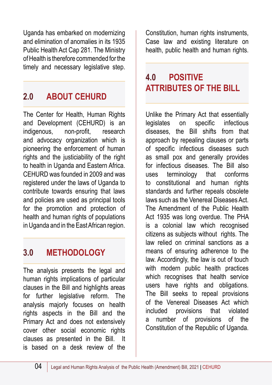Uganda has embarked on modernizing and elimination of anomalies in its 1935 Public Health Act Cap 281. The Ministry of Health is therefore commended for the timely and necessary legislative step.

# **2.0 ABOUT CEHURD**

The Center for Health, Human Rights and Development (CEHURD) is an indigenous, non-profit, research and advocacy organization which is pioneering the enforcement of human rights and the justiciability of the right to health in Uganda and Eastern Africa. CEHURD was founded in 2009 and was registered under the laws of Uganda to contribute towards ensuring that laws and policies are used as principal tools for the promotion and protection of health and human rights of populations in Uganda and in the East African region.

# **3.0 METHODOLOGY**

The analysis presents the legal and human rights implications of particular clauses in the Bill and highlights areas for further legislative reform. The analysis majorly focuses on health rights aspects in the Bill and the Primary Act and does not extensively cover other social economic rights clauses as presented in the Bill. It is based on a desk review of the

Constitution, human rights instruments, Case law and existing literature on health, public health and human rights.

# **4.0 POSITIVE ATTRIBUTES OF THE BILL**

Unlike the Primary Act that essentially legislates on specific infectious diseases, the Bill shifts from that approach by repealing clauses or parts of specific infectious diseases such as small pox and generally provides for infectious diseases. The Bill also uses terminology that conforms to constitutional and human rights standards and further repeals obsolete laws such as the Venereal Diseases Act. The Amendment of the Public Health Act 1935 was long overdue. The PHA is a colonial law which recognised citizens as subjects without rights. The law relied on criminal sanctions as a means of ensuring adherence to the law. Accordingly, the law is out of touch with modern public health practices which recognises that health service users have rights and obligations. The Bill seeks to repeal provisions of the Venereal Diseases Act which included provisions that violated a number of provisions of the Constitution of the Republic of Uganda.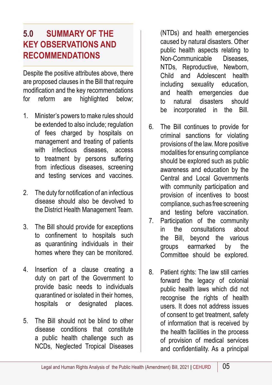# **5.0 SUMMARY OF THE KEY OBSERVATIONS AND RECOMMENDATIONS**

Despite the positive attributes above, there are proposed clauses in the Bill that require modification and the key recommendations for reform are highlighted below;

- 1. Minister's powers to make rules should be extended to also include; regulation of fees charged by hospitals on management and treating of patients with infectious diseases, access to treatment by persons suffering from infectious diseases, screening and testing services and vaccines.
- 2. The duty for notification of an infectious disease should also be devolved to the District Health Management Team.
- 3. The Bill should provide for exceptions to confinement to hospitals such as quarantining individuals in their homes where they can be monitored.
- 4. Insertion of a clause creating a duty on part of the Government to provide basic needs to individuals quarantined or isolated in their homes, hospitals or designated places.
- 5. The Bill should not be blind to other disease conditions that constitute a public health challenge such as NCDs, Neglected Tropical Diseases

(NTDs) and health emergencies caused by natural disasters. Other public health aspects relating to Non-Communicable Diseases, NTDs, Reproductive, Newborn, Child and Adolescent health including sexuality education, and health emergencies due to natural disasters should be incorporated in the Bill.

- 6. The Bill continues to provide for criminal sanctions for violating provisions of the law. More positive modalities for ensuring compliance should be explored such as public awareness and education by the Central and Local Governments with community participation and provision of incentives to boost compliance, such as free screening and testing before vaccination.
- 7. Participation of the community in the consultations about the Bill, beyond the various groups earmarked by the Committee should be explored.
- 8. Patient rights: The law still carries forward the legacy of colonial public health laws which did not recognise the rights of health users. It does not address issues of consent to get treatment, safety of information that is received by the health facilities in the process of provision of medical services and confidentiality. As a principal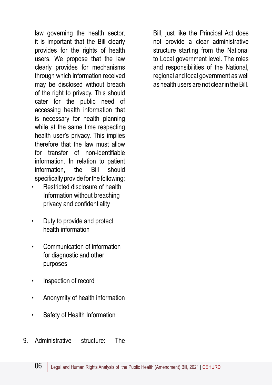law governing the health sector, it is important that the Bill clearly provides for the rights of health users. We propose that the law clearly provides for mechanisms through which information received may be disclosed without breach of the right to privacy. This should cater for the public need of accessing health information that is necessary for health planning while at the same time respecting health user's privacy. This implies therefore that the law must allow for transfer of non-identifiable information. In relation to patient information, the Bill should specifically provide for the following;

- Restricted disclosure of health Information without breaching privacy and confidentiality
- Duty to provide and protect health information
- Communication of information for diagnostic and other purposes
- Inspection of record
- Anonymity of health information
- Safety of Health Information
- 9. Administrative structure: The

Bill, just like the Principal Act does not provide a clear administrative structure starting from the National to Local government level. The roles and responsibilities of the National, regional and local government as well as health users are not clear in the Bill.

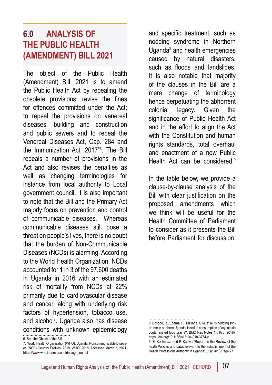## **6.0 ANALYSIS OF THE PUBLIC HEALTH (AMENDMENT) BILL 2021**

The object of the Public Health (Amendment) Bill, 2021 is to amend the Public Health Act by repealing the obsolete provisions; revise the fines for offences committed under the Act; to repeal the provisions on venereal diseases, building and construction and public sewers and to repeal the Venereal Diseases Act, Cap. 284 and the Immunization Act, 2017"<sup>6</sup> . The Bill repeals a number of provisions in the Act and also revises the penalties as well as changing terminologies for instance from local authority to Local government council. It is also important to note that the Bill and the Primary Act majorly focus on prevention and control of communicable diseases. Whereas communicable diseases still pose a threat on people's lives, there is no doubt that the burden of Non-Communicable Diseases (NCDs) is alarming. According to the World Health Organization, NCDs accounted for 1 in 3 of the 97,600 deaths in Uganda in 2016 with an estimated risk of mortality from NCDs at 22% primarily due to cardiovascular disease and cancer, along with underlying risk factors of hypertension, tobacco use, and alcohol<sup>7</sup>. Uganda also has disease conditions with unknown epidemiology

6. See the Object of the Bill

7. World Health Organization (WHO). Uganda: Noncommunicable Diseases (NCD) Country Profiles, 2018. WHO; 2018. Accessed March 3, 2021. https://www.who.int/nmh/countries/uga\_en.pdf

and specific treatment, such as nodding syndrome in Northern Uganda<sup>8</sup> and health emergencies caused by natural disasters, such as floods and landslides. It is also notable that majority of the clauses in the Bill are a mere change of terminology hence perpetuating the abhorrent colonial legacy. Given the significance of Public Health Act and in the effort to align the Act with the Constitution and human rights standards, total overhaul and enactment of a new Public Health Act can be considered.<sup>9</sup>

In the table below, we provide a clause-by-clause analysis of the Bill with clear justification on the proposed amendments which we think will be useful for the Health Committee of Parliament to consider as it presents the Bill before Parliament for discussion.

<sup>8.</sup> Echodu, R., Edema, H., Malinga, G.M. et al. Is nodding syndrome in northern Uganda linked to consumption of mycotoxin contaminated food grains?. BMC Res Notes 11, 678 (2018). https://doi.org/10.1186/s13104-018-3774-y

<sup>9.</sup> E. Kasimbazi and P. Kabwa "Report on the Review of the heath Policies and Laws relevant to the establishment of the Health Professions Authority in Uganda", July 2013 Page 27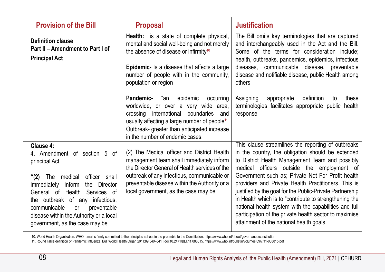| <b>Provision of the Bill</b>                                                                                                                                                                                                                                                                                                                            | <b>Proposal</b>                                                                                                                                                                                                                                                                   | <b>Justification</b>                                                                                                                                                                                                                                                                                                                                                                                                                                                                                                                                                                                     |
|---------------------------------------------------------------------------------------------------------------------------------------------------------------------------------------------------------------------------------------------------------------------------------------------------------------------------------------------------------|-----------------------------------------------------------------------------------------------------------------------------------------------------------------------------------------------------------------------------------------------------------------------------------|----------------------------------------------------------------------------------------------------------------------------------------------------------------------------------------------------------------------------------------------------------------------------------------------------------------------------------------------------------------------------------------------------------------------------------------------------------------------------------------------------------------------------------------------------------------------------------------------------------|
| <b>Definition clause</b><br>Part II - Amendment to Part I of<br><b>Principal Act</b>                                                                                                                                                                                                                                                                    | Health: is a state of complete physical,<br>mental and social well-being and not merely<br>the absence of disease or infirmity <sup>10</sup><br><b>Epidemic-</b> Is a disease that affects a large                                                                                | The Bill omits key terminologies that are captured<br>and interchangeably used in the Act and the Bill.<br>Some of the terms for consideration include;<br>health, outbreaks, pandemics, epidemics, infectious<br>diseases, communicable disease, preventable                                                                                                                                                                                                                                                                                                                                            |
|                                                                                                                                                                                                                                                                                                                                                         | number of people with in the community,<br>population or region                                                                                                                                                                                                                   | disease and notifiable disease, public Health among<br>others                                                                                                                                                                                                                                                                                                                                                                                                                                                                                                                                            |
|                                                                                                                                                                                                                                                                                                                                                         | Pandemic-<br>epidemic<br>"an<br>occurring<br>worldwide, or over a very wide area,<br>international<br>boundaries<br>crossing<br>and<br>usually affecting a large number of people <sup>11</sup><br>Outbreak- greater than anticipated increase<br>in the number of endemic cases. | Assigning<br>definition<br>appropriate<br>to<br>these<br>terminologies facilitates appropriate public<br>health<br>response                                                                                                                                                                                                                                                                                                                                                                                                                                                                              |
| Clause 4:<br>4. Amendment of section 5 of<br>principal Act<br>"(2)<br>medical<br>officer<br>shall<br>The<br>immediately<br>inform<br>the<br>Director<br>General of Health<br>Services of<br>the outbreak of any<br>infectious.<br>communicable<br>preventable<br><b>or</b><br>disease within the Authority or a local<br>government, as the case may be | (2) The Medical officer and District Health<br>management team shall immediately inform<br>the Director General of Health services of the<br>outbreak of any infectious, communicable or<br>preventable disease within the Authority or a<br>local government, as the case may be | This clause streamlines the reporting of outbreaks<br>in the country, the obligation should be extended<br>to District Health Management Team and possibly<br>medical officers outside the employment of<br>Government such as; Private Not For Profit health<br>providers and Private Health Practitioners. This is<br>justified by the goal for the Public-Private Partnership<br>in Health which is to "contribute to strengthening the<br>national health system with the capabilities and full<br>participation of the private health sector to maximise<br>attainment of the national health goals |

10. World Health Organization. WHO remains firmly committed to the principles set out in the preamble to the Constitution. https://www.who.int/about/governance/constitution<br>11. Round Table definition of Pandemic Influenza.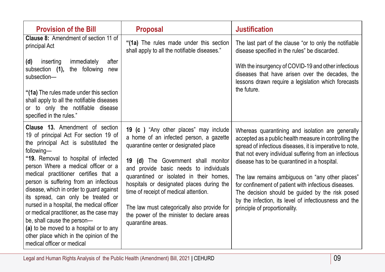| <b>Provision of the Bill</b>                                                                                                                                                                                                                                                                                                                                                                                                                                                                                                                                                                                                          | <b>Proposal</b>                                                                                                                                                                                                                                                                                                                                                                                                                                                | <b>Justification</b>                                                                                                                                                                                                                                                                                                                                                                                                                                                                                                                     |
|---------------------------------------------------------------------------------------------------------------------------------------------------------------------------------------------------------------------------------------------------------------------------------------------------------------------------------------------------------------------------------------------------------------------------------------------------------------------------------------------------------------------------------------------------------------------------------------------------------------------------------------|----------------------------------------------------------------------------------------------------------------------------------------------------------------------------------------------------------------------------------------------------------------------------------------------------------------------------------------------------------------------------------------------------------------------------------------------------------------|------------------------------------------------------------------------------------------------------------------------------------------------------------------------------------------------------------------------------------------------------------------------------------------------------------------------------------------------------------------------------------------------------------------------------------------------------------------------------------------------------------------------------------------|
| <b>Clause 8:</b> Amendment of section 11 of<br>principal Act                                                                                                                                                                                                                                                                                                                                                                                                                                                                                                                                                                          | "(1a) The rules made under this section<br>shall apply to all the notifiable diseases."                                                                                                                                                                                                                                                                                                                                                                        | The last part of the clause "or to only the notifiable<br>disease specified in the rules" be discarded.                                                                                                                                                                                                                                                                                                                                                                                                                                  |
| inserting<br>immediately<br>after<br>(d)<br>the following<br>subsection (1),<br>new<br>subsection-<br>"(1a) The rules made under this section<br>shall apply to all the notifiable diseases<br>or to only the notifiable disease<br>specified in the rules."                                                                                                                                                                                                                                                                                                                                                                          |                                                                                                                                                                                                                                                                                                                                                                                                                                                                | With the insurgency of COVID-19 and other infectious<br>diseases that have arisen over the decades, the<br>lessons drawn require a legislation which forecasts<br>the future.                                                                                                                                                                                                                                                                                                                                                            |
| <b>Clause 13.</b> Amendment of section<br>19 of principal Act For section 19 of<br>the principal Act is substituted the<br>following-<br>"19. Removal to hospital of infected<br>person Where a medical officer or a<br>medical practitioner certifies that a<br>person is suffering from an infectious<br>disease, which in order to guard against<br>its spread, can only be treated or<br>nursed in a hospital, the medical officer<br>or medical practitioner, as the case may<br>be, shall cause the person-<br>(a) to be moved to a hospital or to any<br>other place which in the opinion of the<br>medical officer or medical | 19 (c ) "Any other places" may include<br>a home of an infected person, a gazette<br>quarantine center or designated place<br>19 (d) The Government shall monitor<br>and provide basic needs to individuals<br>quarantined or isolated in their homes,<br>hospitals or designated places during the<br>time of receipt of medical attention.<br>The law must categorically also provide for<br>the power of the minister to declare areas<br>quarantine areas. | Whereas quarantining and isolation are generally<br>accepted as a public health measure in controlling the<br>spread of infectious diseases, it is imperative to note,<br>that not every individual suffering from an infectious<br>disease has to be quarantined in a hospital.<br>The law remains ambiguous on "any other places"<br>for confinement of patient with infectious diseases.<br>The decision should be guided by the risk posed<br>by the infection, its level of infectiousness and the<br>principle of proportionality. |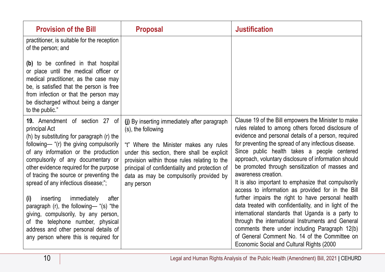| <b>Provision of the Bill</b>                                                                                                                                                                                                                                                                                                                                                                                                                                                                                                                                                                             | <b>Proposal</b>                                                                                                                                                                                                                                                                                                        | <b>Justification</b>                                                                                                                                                                                                                                                                                                                                                                                                                                                                                                                                                                                                                                                                                                                                                                                                                                                                           |
|----------------------------------------------------------------------------------------------------------------------------------------------------------------------------------------------------------------------------------------------------------------------------------------------------------------------------------------------------------------------------------------------------------------------------------------------------------------------------------------------------------------------------------------------------------------------------------------------------------|------------------------------------------------------------------------------------------------------------------------------------------------------------------------------------------------------------------------------------------------------------------------------------------------------------------------|------------------------------------------------------------------------------------------------------------------------------------------------------------------------------------------------------------------------------------------------------------------------------------------------------------------------------------------------------------------------------------------------------------------------------------------------------------------------------------------------------------------------------------------------------------------------------------------------------------------------------------------------------------------------------------------------------------------------------------------------------------------------------------------------------------------------------------------------------------------------------------------------|
| practitioner, is suitable for the reception<br>of the person; and                                                                                                                                                                                                                                                                                                                                                                                                                                                                                                                                        |                                                                                                                                                                                                                                                                                                                        |                                                                                                                                                                                                                                                                                                                                                                                                                                                                                                                                                                                                                                                                                                                                                                                                                                                                                                |
| (b) to be confined in that hospital<br>or place until the medical officer or<br>medical practitioner, as the case may<br>be, is satisfied that the person is free<br>from infection or that the person may<br>be discharged without being a danger<br>to the public."                                                                                                                                                                                                                                                                                                                                    |                                                                                                                                                                                                                                                                                                                        |                                                                                                                                                                                                                                                                                                                                                                                                                                                                                                                                                                                                                                                                                                                                                                                                                                                                                                |
| 19. Amendment of section 27 of<br>principal Act<br>(h) by substituting for paragraph (r) the<br>following— "(r) the giving compulsorily<br>of any information or the production<br>compulsorily of any documentary or<br>other evidence required for the purpose<br>of tracing the source or preventing the<br>spread of any infectious disease;";<br>inserting<br>immediately<br>after<br>(i)<br>paragraph (r), the following— "(s) "the<br>giving, compulsorily, by any person,<br>of the telephone number, physical<br>address and other personal details of<br>any person where this is required for | (j) By inserting immediately after paragraph<br>(s), the following<br>"t" Where the Minister makes any rules<br>under this section, there shall be explicit<br>provision within those rules relating to the<br>principal of confidentiality and protection of<br>data as may be compulsorily provided by<br>any person | Clause 19 of the Bill empowers the Minister to make<br>rules related to among others forced disclosure of<br>evidence and personal details of a person, required<br>for preventing the spread of any infectious disease.<br>Since public health takes a people centered<br>approach, voluntary disclosure of information should<br>be promoted through sensitization of masses and<br>awareness creation.<br>It is also important to emphasize that compulsorily<br>access to information as provided for in the Bill<br>further impairs the right to have personal health<br>data treated with confidentiality, and in light of the<br>international standards that Uganda is a party to<br>through the international Instruments and General<br>comments there under including Paragraph 12(b)<br>of General Comment No. 14 of the Committee on<br>Economic Social and Cultural Rights (2000 |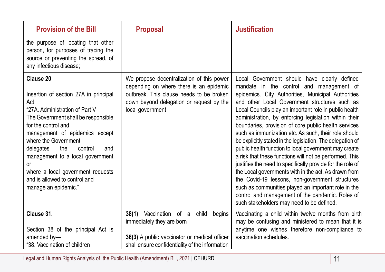| <b>Provision of the Bill</b>                                                                                                                                                                                                                                                                                                                                                                             | <b>Proposal</b>                                                                                                                                                                                  | <b>Justification</b>                                                                                                                                                                                                                                                                                                                                                                                                                                                                                                                                                                                                                                                                                                                                                                                                                                                                                                                                  |
|----------------------------------------------------------------------------------------------------------------------------------------------------------------------------------------------------------------------------------------------------------------------------------------------------------------------------------------------------------------------------------------------------------|--------------------------------------------------------------------------------------------------------------------------------------------------------------------------------------------------|-------------------------------------------------------------------------------------------------------------------------------------------------------------------------------------------------------------------------------------------------------------------------------------------------------------------------------------------------------------------------------------------------------------------------------------------------------------------------------------------------------------------------------------------------------------------------------------------------------------------------------------------------------------------------------------------------------------------------------------------------------------------------------------------------------------------------------------------------------------------------------------------------------------------------------------------------------|
| the purpose of locating that other<br>person, for purposes of tracing the<br>source or preventing the spread, of<br>any infectious disease;                                                                                                                                                                                                                                                              |                                                                                                                                                                                                  |                                                                                                                                                                                                                                                                                                                                                                                                                                                                                                                                                                                                                                                                                                                                                                                                                                                                                                                                                       |
| Clause 20<br>Insertion of section 27A in principal<br>Act<br>"27A. Administration of Part V<br>The Government shall be responsible<br>for the control and<br>management of epidemics except<br>where the Government<br>delegates<br>the<br>control<br>and<br>management to a local government<br><b>or</b><br>where a local government requests<br>and is allowed to control and<br>manage an epidemic." | We propose decentralization of this power<br>depending on where there is an epidemic<br>outbreak. This clause needs to be broken<br>down beyond delegation or request by the<br>local government | Local Government should have clearly defined<br>mandate in the control and management of<br>epidemics. City Authorities, Municipal Authorities<br>and other Local Government structures such as<br>Local Councils play an important role in public health<br>administration, by enforcing legislation within their<br>boundaries, provision of core public health services<br>such as immunization etc. As such, their role should<br>be explicitly stated in the legislation. The delegation of<br>public health function to local government may create<br>a risk that these functions will not be performed. This<br>justifies the need to specifically provide for the role of<br>the Local governments with in the act. As drawn from<br>the Covid-19 lessons, non-government structures<br>such as communities played an important role in the<br>control and management of the pandemic. Roles of<br>such stakeholders may need to be defined. |
| Clause 31.<br>Section 38 of the principal Act is<br>amended by-<br>"38. Vaccination of children                                                                                                                                                                                                                                                                                                          | 38(1) Vaccination of a<br>child<br>begins<br>immediately they are born<br>38(3) A public vaccinator or medical officer<br>shall ensure confidentiality of the information                        | Vaccinating a child within twelve months from birth<br>may be confusing and ministered to mean that it is<br>anytime one wishes therefore non-compliance to<br>vaccination schedules.                                                                                                                                                                                                                                                                                                                                                                                                                                                                                                                                                                                                                                                                                                                                                                 |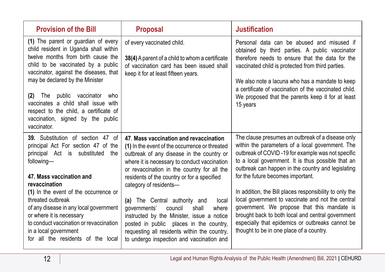| <b>Provision of the Bill</b>                                                                                                                                                                                                                                                                                                                                                                                             | <b>Proposal</b>                                                                                                                                                                                                                                                                                                                                                                                                                                                                                                                                                                            | <b>Justification</b>                                                                                                                                                                                                                                                                                                                                                                                                                                                                                                                                                                                                            |
|--------------------------------------------------------------------------------------------------------------------------------------------------------------------------------------------------------------------------------------------------------------------------------------------------------------------------------------------------------------------------------------------------------------------------|--------------------------------------------------------------------------------------------------------------------------------------------------------------------------------------------------------------------------------------------------------------------------------------------------------------------------------------------------------------------------------------------------------------------------------------------------------------------------------------------------------------------------------------------------------------------------------------------|---------------------------------------------------------------------------------------------------------------------------------------------------------------------------------------------------------------------------------------------------------------------------------------------------------------------------------------------------------------------------------------------------------------------------------------------------------------------------------------------------------------------------------------------------------------------------------------------------------------------------------|
| (1) The parent or guardian of every<br>child resident in Uganda shall within<br>twelve months from birth cause the<br>child to be vaccinated by a public<br>vaccinator, against the diseases, that<br>may be declared by the Minister<br>public<br>vaccinator<br>The<br>who<br>(2)<br>vaccinates a child shall issue with<br>respect to the child, a certificate of<br>vaccination, signed by the public<br>vaccinator.  | of every vaccinated child.<br>38(4) A parent of a child to whom a certificate<br>of vaccination card has been issued shall<br>keep it for at least fifteen years.                                                                                                                                                                                                                                                                                                                                                                                                                          | Personal data can be abused and misused if<br>obtained by third parties. A public vaccinator<br>therefore needs to ensure that the data for the<br>vaccinated child is protected from third parties.<br>We also note a lacuna who has a mandate to keep<br>a certificate of vaccination of the vaccinated child.<br>We proposed that the parents keep it for at least<br>15 years                                                                                                                                                                                                                                               |
| 39. Substitution of section 47 of<br>principal Act For section 47 of the<br>principal Act is substituted<br>the<br>following-<br>47. Mass vaccination and<br>revaccination<br>(1) In the event of the occurrence or<br>threated outbreak<br>of any disease in any local government<br>or where it is necessary<br>to conduct vaccination or revaccination<br>in a local government<br>for all the residents of the local | 47. Mass vaccination and revaccination<br>(1) In the event of the occurrence or threated<br>outbreak of any disease in the country or<br>where it is necessary to conduct vaccination<br>or revaccination in the country for all the<br>residents of the country or for a specified<br>category of residents-<br>(a) The Central authority and<br>local<br>qovernments'<br>council<br>shall<br>where<br>instructed by the Minister, issue a notice<br>posted in public places in the country,<br>requesting all residents within the country,<br>to undergo inspection and vaccination and | The clause presumes an outbreak of a disease only<br>within the parameters of a local government. The<br>outbreak of COVID-19 for example was not specific<br>to a local government. It is thus possible that an<br>outbreak can happen in the country and legislating<br>for the future becomes important.<br>In addition, the Bill places responsibility to only the<br>local government to vaccinate and not the central<br>government. We propose that this mandate is<br>brought back to both local and central government<br>especially that epidemics or outbreaks cannot be<br>thought to be in one place of a country. |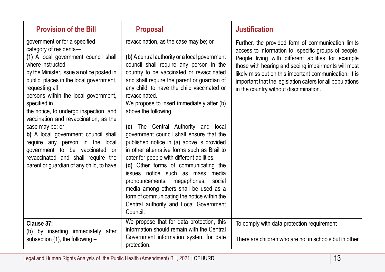| <b>Provision of the Bill</b>                                                                                                                                                                                                                                                                                                                                                                                                                                                                                                                                                                  | <b>Proposal</b>                                                                                                                                                                                                                                                                                                                                                                                                                                                                                                                                                                                                                                                                                                                                                                                                                                                      | <b>Justification</b>                                                                                                                                                                                                                                                                                                                                                                    |
|-----------------------------------------------------------------------------------------------------------------------------------------------------------------------------------------------------------------------------------------------------------------------------------------------------------------------------------------------------------------------------------------------------------------------------------------------------------------------------------------------------------------------------------------------------------------------------------------------|----------------------------------------------------------------------------------------------------------------------------------------------------------------------------------------------------------------------------------------------------------------------------------------------------------------------------------------------------------------------------------------------------------------------------------------------------------------------------------------------------------------------------------------------------------------------------------------------------------------------------------------------------------------------------------------------------------------------------------------------------------------------------------------------------------------------------------------------------------------------|-----------------------------------------------------------------------------------------------------------------------------------------------------------------------------------------------------------------------------------------------------------------------------------------------------------------------------------------------------------------------------------------|
| government or for a specified<br>category of residents-<br>(1) A local government council shall<br>where instructed<br>by the Minister, issue a notice posted in<br>public places in the local government,<br>requesting all<br>persons within the local government,<br>specified in<br>the notice, to undergo inspection and<br>vaccination and revaccination, as the<br>case may be; or<br>b) A local government council shall<br>require any person in the<br>local<br>government to be vaccinated<br>0r<br>revaccinated and shall require the<br>parent or guardian of any child, to have | revaccination, as the case may be; or<br>(b) A central authority or a local government<br>council shall require any person in the<br>country to be vaccinated or revaccinated<br>and shall require the parent or guardian of<br>any child, to have the child vaccinated or<br>revaccinated.<br>We propose to insert immediately after (b)<br>above the following.<br>(c) The Central Authority and<br>local<br>government council shall ensure that the<br>published notice in (a) above is provided<br>in other alternative forms such as Brail to<br>cater for people with different abilities.<br>(d) Other forms of communicating the<br>issues notice such as mass media<br>pronouncements, megaphones,<br>social<br>media among others shall be used as a<br>form of communicating the notice within the<br>Central authority and Local Government<br>Council. | Further, the provided form of communication limits<br>access to information to specific groups of people.<br>People living with different abilities for example<br>those with hearing and seeing impairments will most<br>likely miss out on this important communication. It is<br>important that the legislation caters for all populations<br>in the country without discrimination. |
| Clause 37:<br>(b) by inserting immediately<br>after<br>subsection $(1)$ , the following $-$                                                                                                                                                                                                                                                                                                                                                                                                                                                                                                   | We propose that for data protection, this<br>information should remain with the Central<br>Government information system for date<br>protection.                                                                                                                                                                                                                                                                                                                                                                                                                                                                                                                                                                                                                                                                                                                     | To comply with data protection requirement<br>There are children who are not in schools but in other                                                                                                                                                                                                                                                                                    |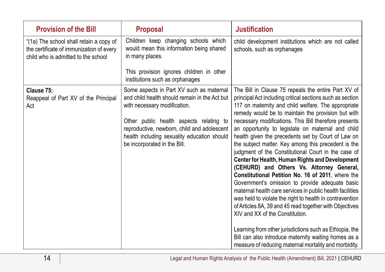| <b>Provision of the Bill</b>                                                                                               | <b>Proposal</b>                                                                                                                                                                                                                                                                                    | <b>Justification</b>                                                                                                                                                                                                                                                                                                                                                                                                                                                                                                                                                                                                                                                                                                                                                                                                                                                                                                                                                                                                                                                                                                       |
|----------------------------------------------------------------------------------------------------------------------------|----------------------------------------------------------------------------------------------------------------------------------------------------------------------------------------------------------------------------------------------------------------------------------------------------|----------------------------------------------------------------------------------------------------------------------------------------------------------------------------------------------------------------------------------------------------------------------------------------------------------------------------------------------------------------------------------------------------------------------------------------------------------------------------------------------------------------------------------------------------------------------------------------------------------------------------------------------------------------------------------------------------------------------------------------------------------------------------------------------------------------------------------------------------------------------------------------------------------------------------------------------------------------------------------------------------------------------------------------------------------------------------------------------------------------------------|
| "(1a) The school shall retain a copy of<br>the certificate of immunization of every<br>child who is admitted to the school | Children keep changing schools which<br>would mean this information being shared<br>in many places.                                                                                                                                                                                                | child development institutions which are not called<br>schools, such as orphanages                                                                                                                                                                                                                                                                                                                                                                                                                                                                                                                                                                                                                                                                                                                                                                                                                                                                                                                                                                                                                                         |
|                                                                                                                            | This provision ignores children in other<br>institutions such as orphanages                                                                                                                                                                                                                        |                                                                                                                                                                                                                                                                                                                                                                                                                                                                                                                                                                                                                                                                                                                                                                                                                                                                                                                                                                                                                                                                                                                            |
| Clause 75:<br>Reappeal of Part XV of the Principal<br>Act                                                                  | Some aspects in Part XV such as maternal<br>and child health should remain in the Act but<br>with necessary modification.<br>Other public health aspects relating to<br>reproductive, newborn, child and adolescent<br>health including sexuality education should<br>be incorporated in the Bill. | The Bill in Clause 75 repeals the entire Part XV of<br>principal Act including critical sections such as section<br>117 on maternity and child welfare. The appropriate<br>remedy would be to maintain the provision but with<br>necessary modifications. This Bill therefore presents<br>an opportunity to legislate on maternal and child<br>health given the precedents set by Court of Law on<br>the subject matter. Key among this precedent is the<br>judgment of the Constitutional Court in the case of<br>Center for Health, Human Rights and Development<br>(CEHURD) and Others Vs. Attorney General,<br>Constitutional Petition No. 16 of 2011, where the<br>Government's omission to provide adequate basic<br>maternal health care services in public health facilities<br>was held to violate the right to health in contravention<br>of Articles 8A, 39 and 45 read together with Objectives<br>XIV and XX of the Constitution.<br>Learning from other jurisdictions such as Ethiopia, the<br>Bill can also introduce maternity waiting homes as a<br>measure of reducing maternal mortality and morbidity. |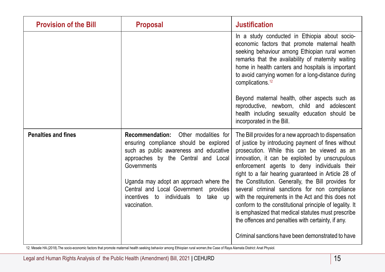| <b>Provision of the Bill</b> | <b>Proposal</b>                                                                                                                                                                                                                                                                                                                              | <b>Justification</b>                                                                                                                                                                                                                                                                                                                                                                                                                                                                                                                                                                                                                                    |
|------------------------------|----------------------------------------------------------------------------------------------------------------------------------------------------------------------------------------------------------------------------------------------------------------------------------------------------------------------------------------------|---------------------------------------------------------------------------------------------------------------------------------------------------------------------------------------------------------------------------------------------------------------------------------------------------------------------------------------------------------------------------------------------------------------------------------------------------------------------------------------------------------------------------------------------------------------------------------------------------------------------------------------------------------|
|                              |                                                                                                                                                                                                                                                                                                                                              | In a study conducted in Ethiopia about socio-<br>economic factors that promote maternal health<br>seeking behaviour among Ethiopian rural women<br>remarks that the availability of maternity waiting<br>home in health canters and hospitals is important<br>to avoid carrying women for a long-distance during<br>complications. <sup>12</sup>                                                                                                                                                                                                                                                                                                        |
|                              |                                                                                                                                                                                                                                                                                                                                              | Beyond maternal health, other aspects such as<br>reproductive, newborn, child and adolescent<br>health including sexuality education should be<br>incorporated in the Bill.                                                                                                                                                                                                                                                                                                                                                                                                                                                                             |
| <b>Penalties and fines</b>   | <b>Recommendation:</b><br>Other modalities for<br>ensuring compliance should be explored<br>such as public awareness and educative<br>approaches by the Central and Local<br>Governments<br>Uganda may adopt an approach where the<br>Central and Local Government<br>provides<br>incentives to<br>individuals to<br>take up<br>vaccination. | The Bill provides for a new approach to dispensation<br>of justice by introducing payment of fines without<br>prosecution. While this can be viewed as an<br>innovation, it can be exploited by unscrupulous<br>enforcement agents to deny individuals their<br>right to a fair hearing guaranteed in Article 28 of<br>the Constitution. Generally, the Bill provides for<br>several criminal sanctions for non compliance<br>with the requirements in the Act and this does not<br>conform to the constitutional principle of legality. It<br>is emphasized that medical statutes must prescribe<br>the offences and penalties with certainty, if any. |
|                              |                                                                                                                                                                                                                                                                                                                                              | Criminal sanctions have been demonstrated to have                                                                                                                                                                                                                                                                                                                                                                                                                                                                                                                                                                                                       |

12. Mesele HA.(2018).The socio-economic factors that promote maternal health seeking behavior among Ethiopian rural women,the Case of Raya Alamata District: Anat Physiol.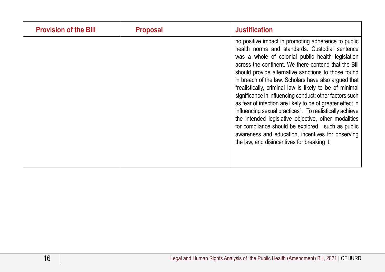| <b>Provision of the Bill</b> | <b>Proposal</b> | <b>Justification</b>                                                                                                                                                                                                                                                                                                                                                                                                                                                                                                                                                                                                                                                                                                                                                                             |
|------------------------------|-----------------|--------------------------------------------------------------------------------------------------------------------------------------------------------------------------------------------------------------------------------------------------------------------------------------------------------------------------------------------------------------------------------------------------------------------------------------------------------------------------------------------------------------------------------------------------------------------------------------------------------------------------------------------------------------------------------------------------------------------------------------------------------------------------------------------------|
|                              |                 | no positive impact in promoting adherence to public<br>health norms and standards. Custodial sentence<br>was a whole of colonial public health legislation<br>across the continent. We there contend that the Bill<br>should provide alternative sanctions to those found<br>in breach of the law. Scholars have also argued that<br>"realistically, criminal law is likely to be of minimal<br>significance in influencing conduct: other factors such<br>as fear of infection are likely to be of greater effect in<br>influencing sexual practices". To realistically achieve<br>the intended legislative objective, other modalities<br>for compliance should be explored such as public<br>awareness and education, incentives for observing<br>the law, and disincentives for breaking it. |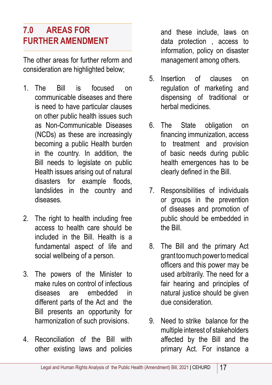# **7.0 AREAS FOR FURTHER AMENDMENT**

The other areas for further reform and consideration are highlighted below;

- 1. The Bill is focused on communicable diseases and there is need to have particular clauses on other public health issues such as Non-Communicable Diseases (NCDs) as these are increasingly becoming a public Health burden in the country. In addition, the Bill needs to legislate on public Health issues arising out of natural disasters for example floods, landslides in the country and diseases.
- 2. The right to health including free access to health care should be included in the Bill. Health is a fundamental aspect of life and social wellbeing of a person.
- 3. The powers of the Minister to make rules on control of infectious diseases are embedded in different parts of the Act and the Bill presents an opportunity for harmonization of such provisions.
- 4. Reconciliation of the Bill with other existing laws and policies

and these include, laws on data protection , access to information, policy on disaster management among others.

- 5. Insertion of clauses on regulation of marketing and dispensing of traditional or herbal medicines.
- 6. The State obligation on financing immunization, access to treatment and provision of basic needs during public health emergences has to be clearly defined in the Bill.
- 7. Responsibilities of individuals or groups in the prevention of diseases and promotion of public should be embedded in the Bill.
- 8. The Bill and the primary Act grant too much power to medical officers and this power may be used arbitrarily. The need for a fair hearing and principles of natural justice should be given due consideration.
- 9. Need to strike balance for the multiple interest of stakeholders affected by the Bill and the primary Act. For instance a